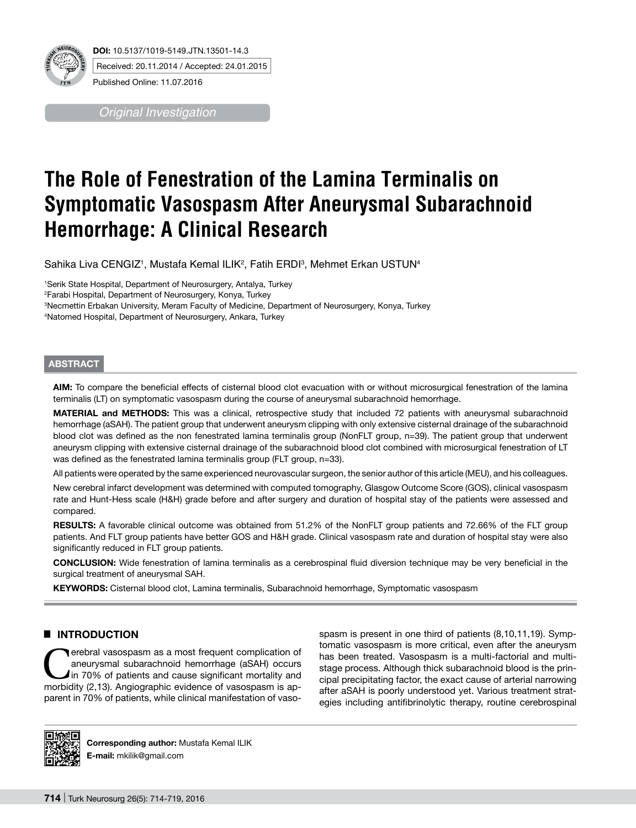

*Original Investigation*

# **The Role of Fenestration of the Lamina Terminalis on Symptomatic Vasospasm After Aneurysmal Subarachnoid Hemorrhage: A Clinical Research**

Sahika Liva CENGIZ1, Mustafa Kemal ILIK<sup>2</sup>, Fatih ERDI3, Mehmet Erkan USTUN<sup>4</sup>

 Serik State Hospital, Department of Neurosurgery, Antalya, Turkey Farabi Hospital, Department of Neurosurgery, Konya, Turkey Necmettin Erbakan University, Meram Faculty of Medicine, Department of Neurosurgery, Konya, Turkey Natomed Hospital, Department of Neurosurgery, Ankara, Turkey

# **ABSTRACT**

**AIm:** To compare the beneficial effects of cisternal blood clot evacuation with or without microsurgical fenestration of the lamina terminalis (LT) on symptomatic vasospasm during the course of aneurysmal subarachnoid hemorrhage.

**MaterIal and Methods:** This was a clinical, retrospective study that included 72 patients with aneurysmal subarachnoid hemorrhage (aSAH). The patient group that underwent aneurysm clipping with only extensive cisternal drainage of the subarachnoid blood clot was defined as the non fenestrated lamina terminalis group (NonFLT group, n=39). The patient group that underwent aneurysm clipping with extensive cisternal drainage of the subarachnoid blood clot combined with microsurgical fenestration of LT was defined as the fenestrated lamina terminalis group (FLT group, n=33).

All patients were operated by the same experienced neurovascular surgeon, the senior author of this article (MEU), and his colleagues.

New cerebral infarct development was determined with computed tomography, Glasgow Outcome Score (GOS), clinical vasospasm rate and Hunt-Hess scale (H&H) grade before and after surgery and duration of hospital stay of the patients were assessed and compared.

RESULTS: A favorable clinical outcome was obtained from 51.2% of the NonFLT group patients and 72.66% of the FLT group patients. And FLT group patients have better GOS and H&H grade. Clinical vasospasm rate and duration of hospital stay were also significantly reduced in FLT group patients.

**ConclusIon:** Wide fenestration of lamina terminalis as a cerebrospinal fluid diversion technique may be very beneficial in the surgical treatment of aneurysmal SAH.

**Keywords:** Cisternal blood clot, Lamina terminalis, Subarachnoid hemorrhage, Symptomatic vasospasm

# █ **INTRODUCTION**

Terebral vasospasm as a most frequent complication of aneurysmal subarachnoid hemorrhage (aSAH) occurs In 70% of patients and cause significant mortality and morbidity (2,13). Angiographic evidence of vasospasm is apparent in 70% of patients, while clinical manifestation of vasospasm is present in one third of patients (8,10,11,19). Symptomatic vasospasm is more critical, even after the aneurysm has been treated. Vasospasm is a multi-factorial and multistage process. Although thick subarachnoid blood is the principal precipitating factor, the exact cause of arterial narrowing after aSAH is poorly understood yet. Various treatment strategies including antifibrinolytic therapy, routine cerebrospinal



**Corresponding author:** Mustafa Kemal ILIK **E-mail:** mkilik@gmail.com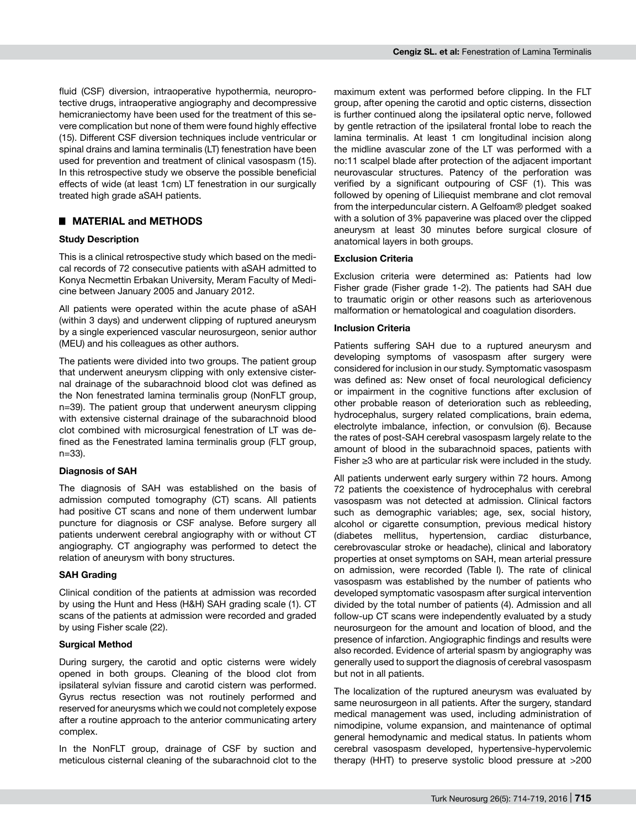fluid (CSF) diversion, intraoperative hypothermia, neuroprotective drugs, intraoperative angiography and decompressive hemicraniectomy have been used for the treatment of this severe complication but none of them were found highly effective (15). Different CSF diversion techniques include ventricular or spinal drains and lamina terminalis (LT) fenestration have been used for prevention and treatment of clinical vasospasm (15). In this retrospective study we observe the possible beneficial effects of wide (at least 1cm) LT fenestration in our surgically treated high grade aSAH patients.

# █ **materıal and METHODS**

## **Study Description**

This is a clinical retrospective study which based on the medical records of 72 consecutive patients with aSAH admitted to Konya Necmettin Erbakan University, Meram Faculty of Medicine between January 2005 and January 2012.

All patients were operated within the acute phase of aSAH (within 3 days) and underwent clipping of ruptured aneurysm by a single experienced vascular neurosurgeon, senior author (MEU) and his colleagues as other authors.

The patients were divided into two groups. The patient group that underwent aneurysm clipping with only extensive cisternal drainage of the subarachnoid blood clot was defined as the Non fenestrated lamina terminalis group (NonFLT group, n=39). The patient group that underwent aneurysm clipping with extensive cisternal drainage of the subarachnoid blood clot combined with microsurgical fenestration of LT was defined as the Fenestrated lamina terminalis group (FLT group, n=33).

## **Diagnosis of SAH**

The diagnosis of SAH was established on the basis of admission computed tomography (CT) scans. All patients had positive CT scans and none of them underwent lumbar puncture for diagnosis or CSF analyse. Before surgery all patients underwent cerebral angiography with or without CT angiography. CT angiography was performed to detect the relation of aneurysm with bony structures.

## **SAH Grading**

Clinical condition of the patients at admission was recorded by using the Hunt and Hess (H&H) SAH grading scale (1). CT scans of the patients at admission were recorded and graded by using Fisher scale (22).

## **Surgical Method**

During surgery, the carotid and optic cisterns were widely opened in both groups. Cleaning of the blood clot from ipsilateral sylvian fissure and carotid cistern was performed. Gyrus rectus resection was not routinely performed and reserved for aneurysms which we could not completely expose after a routine approach to the anterior communicating artery complex.

In the NonFLT group, drainage of CSF by suction and meticulous cisternal cleaning of the subarachnoid clot to the maximum extent was performed before clipping. In the FLT group, after opening the carotid and optic cisterns, dissection is further continued along the ipsilateral optic nerve, followed by gentle retraction of the ipsilateral frontal lobe to reach the lamina terminalis. At least 1 cm longitudinal incision along the midline avascular zone of the LT was performed with a no:11 scalpel blade after protection of the adjacent important neurovascular structures. Patency of the perforation was verified by a significant outpouring of CSF (1). This was followed by opening of Liliequist membrane and clot removal from the interpeduncular cistern. A Gelfoam® pledget soaked with a solution of 3% papaverine was placed over the clipped aneurysm at least 30 minutes before surgical closure of anatomical layers in both groups.

## **Exclusion Criteria**

Exclusion criteria were determined as: Patients had low Fisher grade (Fisher grade 1-2). The patients had SAH due to traumatic origin or other reasons such as arteriovenous malformation or hematological and coagulation disorders.

#### **Inclusion Criteria**

Patients suffering SAH due to a ruptured aneurysm and developing symptoms of vasospasm after surgery were considered for inclusion in our study. Symptomatic vasospasm was defined as: New onset of focal neurological deficiency or impairment in the cognitive functions after exclusion of other probable reason of deterioration such as rebleeding, hydrocephalus, surgery related complications, brain edema, electrolyte imbalance, infection, or convulsion (6). Because the rates of post-SAH cerebral vasospasm largely relate to the amount of blood in the subarachnoid spaces, patients with Fisher ≥3 who are at particular risk were included in the study.

All patients underwent early surgery within 72 hours. Among 72 patients the coexistence of hydrocephalus with cerebral vasospasm was not detected at admission. Clinical factors such as demographic variables; age, sex, social history, alcohol or cigarette consumption, previous medical history (diabetes mellitus, hypertension, cardiac disturbance, cerebrovascular stroke or headache), clinical and laboratory properties at onset symptoms on SAH, mean arterial pressure on admission, were recorded (Table I). The rate of clinical vasospasm was established by the number of patients who developed symptomatic vasospasm after surgical intervention divided by the total number of patients (4). Admission and all follow-up CT scans were independently evaluated by a study neurosurgeon for the amount and location of blood, and the presence of infarction. Angiographic findings and results were also recorded. Evidence of arterial spasm by angiography was generally used to support the diagnosis of cerebral vasospasm but not in all patients.

The localization of the ruptured aneurysm was evaluated by same neurosurgeon in all patients. After the surgery, standard medical management was used, including administration of nimodipine, volume expansion, and maintenance of optimal general hemodynamic and medical status. In patients whom cerebral vasospasm developed, hypertensive-hypervolemic therapy (HHT) to preserve systolic blood pressure at >200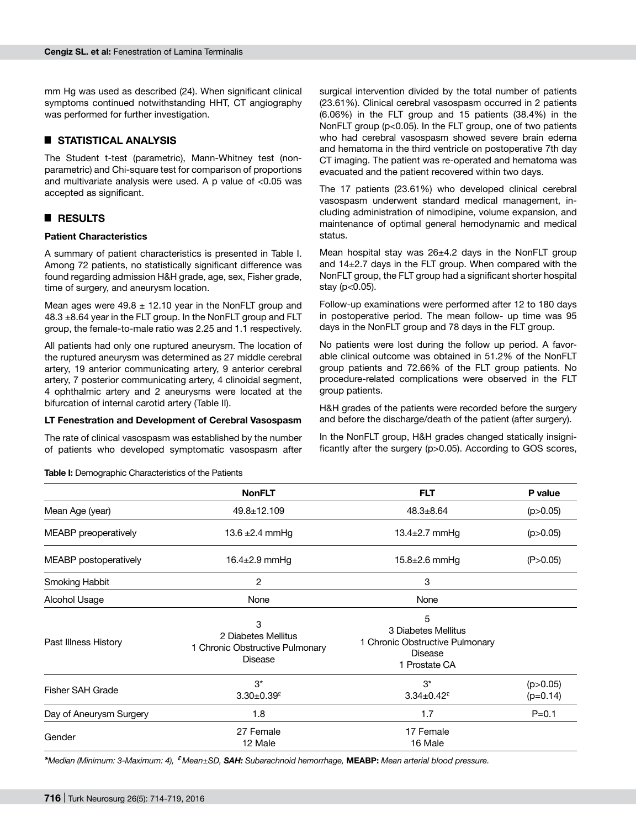mm Hg was used as described (24). When significant clinical symptoms continued notwithstanding HHT, CT angiography was performed for further investigation.

# █ **STATISTICAL ANALYSIS**

The Student t-test (parametric), Mann-Whitney test (nonparametric) and Chi-square test for comparison of proportions and multivariate analysis were used. A p value of <0.05 was accepted as significant.

# █ **RESULTS**

## **Patient Characteristics**

A summary of patient characteristics is presented in Table I. Among 72 patients, no statistically significant difference was found regarding admission H&H grade, age, sex, Fisher grade, time of surgery, and aneurysm location.

Mean ages were 49.8  $\pm$  12.10 year in the NonFLT group and 48.3 ±8.64 year in the FLT group. In the NonFLT group and FLT group, the female-to-male ratio was 2.25 and 1.1 respectively.

All patients had only one ruptured aneurysm. The location of the ruptured aneurysm was determined as 27 middle cerebral artery, 19 anterior communicating artery, 9 anterior cerebral artery, 7 posterior communicating artery, 4 clinoidal segment, 4 ophthalmic artery and 2 aneurysms were located at the bifurcation of internal carotid artery (Table II).

#### **LT Fenestration and Development of Cerebral Vasospasm**

The rate of clinical vasospasm was established by the number of patients who developed symptomatic vasospasm after surgical intervention divided by the total number of patients (23.61%). Clinical cerebral vasospasm occurred in 2 patients (6.06%) in the FLT group and 15 patients (38.4%) in the NonFLT group (p<0.05). In the FLT group, one of two patients who had cerebral vasospasm showed severe brain edema and hematoma in the third ventricle on postoperative 7th day CT imaging. The patient was re-operated and hematoma was evacuated and the patient recovered within two days.

The 17 patients (23.61%) who developed clinical cerebral vasospasm underwent standard medical management, including administration of nimodipine, volume expansion, and maintenance of optimal general hemodynamic and medical status.

Mean hospital stay was 26±4.2 days in the NonFLT group and 14±2.7 days in the FLT group. When compared with the NonFLT group, the FLT group had a significant shorter hospital stay (p<0.05).

Follow-up examinations were performed after 12 to 180 days in postoperative period. The mean follow- up time was 95 days in the NonFLT group and 78 days in the FLT group.

No patients were lost during the follow up period. A favorable clinical outcome was obtained in 51.2% of the NonFLT group patients and 72.66% of the FLT group patients. No procedure-related complications were observed in the FLT group patients.

H&H grades of the patients were recorded before the surgery and before the discharge/death of the patient (after surgery).

In the NonFLT group, H&H grades changed statically insignificantly after the surgery (p>0.05). According to GOS scores,

|                                | <b>NonFLT</b>                                                          | <b>FLT</b>                                                                              | P value                  |  |
|--------------------------------|------------------------------------------------------------------------|-----------------------------------------------------------------------------------------|--------------------------|--|
| Mean Age (year)                | 49.8±12.109                                                            | $48.3 \pm 8.64$                                                                         |                          |  |
| MEABP preoperatively           | 13.4 $\pm$ 2.7 mmHg<br>13.6 $\pm$ 2.4 mmHg                             |                                                                                         | (p > 0.05)               |  |
| MEABP postoperatively          | 16.4 $\pm$ 2.9 mmHg<br>$15.8 \pm 2.6$ mmHg                             |                                                                                         | (P > 0.05)               |  |
| Smoking Habbit                 | 2<br>3                                                                 |                                                                                         |                          |  |
| Alcohol Usage                  | None                                                                   | None                                                                                    |                          |  |
| Past Illness History           | 3<br>2 Diabetes Mellitus<br>1 Chronic Obstructive Pulmonary<br>Disease | 5<br>3 Diabetes Mellitus<br>1 Chronic Obstructive Pulmonary<br>Disease<br>1 Prostate CA |                          |  |
| <b>Fisher SAH Grade</b>        | $3^*$<br>$3.30 \pm 0.39$ <sup>£</sup>                                  | $3^*$<br>$3.34 \pm 0.42$ <sup>£</sup>                                                   | (p > 0.05)<br>$(p=0.14)$ |  |
| Day of Aneurysm Surgery        | 1.8                                                                    | 1.7                                                                                     | $P = 0.1$                |  |
| 27 Female<br>Gender<br>12 Male |                                                                        | 17 Female<br>16 Male                                                                    |                          |  |

*\*Median (Minimum: 3-Maximum: 4), £ Mean±SD, SAH: Subarachnoid hemorrhage,* **MEABP:** *Mean arterial blood pressure.*

**Table I:** Demographic Characteristics of the Patients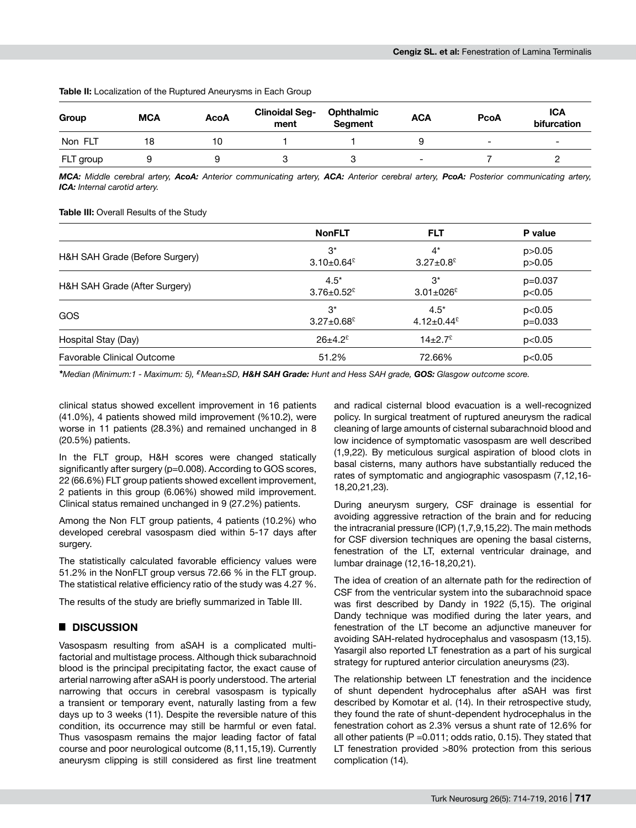#### **Table II:** Localization of the Ruptured Aneurysms in Each Group

| Group     | <b>MCA</b> | <b>AcoA</b> | <b>Clinoidal Seg-</b><br>ment | <b>Ophthalmic</b><br>Segment | <b>ACA</b>               | <b>PcoA</b>              | <b>ICA</b><br>bifurcation |
|-----------|------------|-------------|-------------------------------|------------------------------|--------------------------|--------------------------|---------------------------|
| Non FLT   | 18         | 10          |                               |                              |                          | $\overline{\phantom{0}}$ | -                         |
| FLT group |            |             |                               |                              | $\overline{\phantom{0}}$ |                          |                           |

*MCA: Middle cerebral artery, AcoA: Anterior communicating artery, ACA: Anterior cerebral artery, PcoA: Posterior communicating artery, ICA: Internal carotid artery.*

**Table III:** Overall Results of the Study

|                                | <b>NonFLT</b>                | <b>FLT</b>                    | P value   |
|--------------------------------|------------------------------|-------------------------------|-----------|
| H&H SAH Grade (Before Surgery) | $3^*$                        | $4^*$                         | p > 0.05  |
|                                | $3.10\pm0.64$ <sup>£</sup>   | $3.27 \pm 0.8$ <sup>£</sup>   | p > 0.05  |
| H&H SAH Grade (After Surgery)  | $4.5*$                       | $3^*$                         | $p=0.037$ |
|                                | $3.76 \pm 0.52$ <sup>£</sup> | $3.01 \pm 0.26$ <sup>£</sup>  | p<0.05    |
| <b>GOS</b>                     | $3^*$                        | $4.5*$                        | p<0.05    |
|                                | $3.27 \pm 0.68$ <sup>£</sup> | 4.12 $\pm$ 0.44 $\frac{6}{5}$ | $p=0.033$ |
| Hospital Stay (Day)            | $26 \pm 4.2$ <sup>£</sup>    | $14\pm2.7$ <sup>2</sup>       | p<0.05    |
| Favorable Clinical Outcome     | 51.2%                        | 72.66%                        | p<0.05    |

*\*Median (Minimum:1 - Maximum: 5), £ Mean±SD, H&H SAH Grade: Hunt and Hess SAH grade, GOS: Glasgow outcome score.*

clinical status showed excellent improvement in 16 patients (41.0%), 4 patients showed mild improvement (%10.2), were worse in 11 patients (28.3%) and remained unchanged in 8 (20.5%) patients.

In the FLT group, H&H scores were changed statically significantly after surgery (p=0.008). According to GOS scores, 22 (66.6%) FLT group patients showed excellent improvement, 2 patients in this group (6.06%) showed mild improvement. Clinical status remained unchanged in 9 (27.2%) patients.

Among the Non FLT group patients, 4 patients (10.2%) who developed cerebral vasospasm died within 5-17 days after surgery.

The statistically calculated favorable efficiency values were 51.2% in the NonFLT group versus 72.66 % in the FLT group. The statistical relative efficiency ratio of the study was 4.27 %.

The results of the study are briefly summarized in Table III.

# █ **DISCUSSION**

Vasospasm resulting from aSAH is a complicated multifactorial and multistage process. Although thick subarachnoid blood is the principal precipitating factor, the exact cause of arterial narrowing after aSAH is poorly understood. The arterial narrowing that occurs in cerebral vasospasm is typically a transient or temporary event, naturally lasting from a few days up to 3 weeks (11). Despite the reversible nature of this condition, its occurrence may still be harmful or even fatal. Thus vasospasm remains the major leading factor of fatal course and poor neurological outcome (8,11,15,19). Currently aneurysm clipping is still considered as first line treatment and radical cisternal blood evacuation is a well-recognized policy. In surgical treatment of ruptured aneurysm the radical cleaning of large amounts of cisternal subarachnoid blood and low incidence of symptomatic vasospasm are well described (1,9,22). By meticulous surgical aspiration of blood clots in basal cisterns, many authors have substantially reduced the rates of symptomatic and angiographic vasospasm (7,12,16- 18,20,21,23).

During aneurysm surgery, CSF drainage is essential for avoiding aggressive retraction of the brain and for reducing the intracranial pressure (ICP) (1,7,9,15,22). The main methods for CSF diversion techniques are opening the basal cisterns, fenestration of the LT, external ventricular drainage, and lumbar drainage (12,16-18,20,21).

The idea of creation of an alternate path for the redirection of CSF from the ventricular system into the subarachnoid space was first described by Dandy in 1922 (5,15). The original Dandy technique was modified during the later years, and fenestration of the LT become an adjunctive maneuver for avoiding SAH-related hydrocephalus and vasospasm (13,15). Yasargil also reported LT fenestration as a part of his surgical strategy for ruptured anterior circulation aneurysms (23).

The relationship between LT fenestration and the incidence of shunt dependent hydrocephalus after aSAH was first described by Komotar et al. (14). In their retrospective study, they found the rate of shunt-dependent hydrocephalus in the fenestration cohort as 2.3% versus a shunt rate of 12.6% for all other patients ( $P = 0.011$ ; odds ratio, 0.15). They stated that LT fenestration provided >80% protection from this serious complication (14).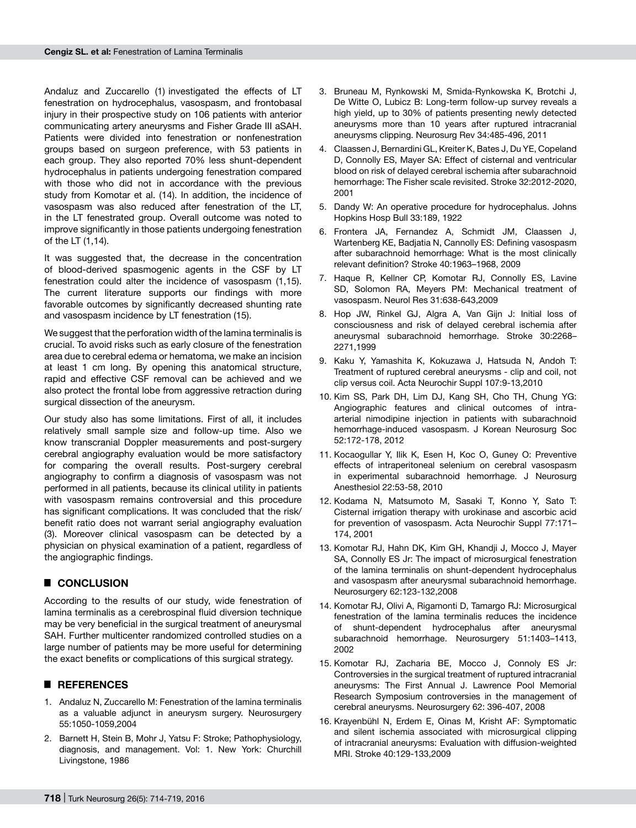Andaluz and Zuccarello (1) investigated the effects of LT fenestration on hydrocephalus, vasospasm, and frontobasal injury in their prospective study on 106 patients with anterior communicating artery aneurysms and Fisher Grade III aSAH. Patients were divided into fenestration or nonfenestration groups based on surgeon preference, with 53 patients in each group. They also reported 70% less shunt-dependent hydrocephalus in patients undergoing fenestration compared with those who did not in accordance with the previous study from Komotar et al. (14). In addition, the incidence of vasospasm was also reduced after fenestration of the LT, in the LT fenestrated group. Overall outcome was noted to improve significantly in those patients undergoing fenestration of the LT (1,14).

It was suggested that, the decrease in the concentration of blood-derived spasmogenic agents in the CSF by LT fenestration could alter the incidence of vasospasm (1,15). The current literature supports our findings with more favorable outcomes by significantly decreased shunting rate and vasospasm incidence by LT fenestration (15).

We suggest that the perforation width of the lamina terminalis is crucial. To avoid risks such as early closure of the fenestration area due to cerebral edema or hematoma, we make an incision at least 1 cm long. By opening this anatomical structure, rapid and effective CSF removal can be achieved and we also protect the frontal lobe from aggressive retraction during surgical dissection of the aneurysm.

Our study also has some limitations. First of all, it includes relatively small sample size and follow-up time. Also we know transcranial Doppler measurements and post-surgery cerebral angiography evaluation would be more satisfactory for comparing the overall results. Post-surgery cerebral angiography to confirm a diagnosis of vasospasm was not performed in all patients, because its clinical utility in patients with vasospasm remains controversial and this procedure has significant complications. It was concluded that the risk/ benefit ratio does not warrant serial angiography evaluation (3). Moreover clinical vasospasm can be detected by a physician on physical examination of a patient, regardless of the angiographic findings.

# █ **CONCLUSION**

According to the results of our study, wide fenestration of lamina terminalis as a cerebrospinal fluid diversion technique may be very beneficial in the surgical treatment of aneurysmal SAH. Further multicenter randomized controlled studies on a large number of patients may be more useful for determining the exact benefits or complications of this surgical strategy.

## █ **REFERENCES**

- 1. Andaluz N, Zuccarello M: Fenestration of the lamina terminalis as a valuable adjunct in aneurysm surgery. Neurosurgery 55:1050-1059,2004
- 2. Barnett H, Stein B, Mohr J, Yatsu F: Stroke; Pathophysiology, diagnosis, and management. Vol: 1. New York: Churchill Livingstone, 1986
- 3. Bruneau M, Rynkowski M, Smida-Rynkowska K, Brotchi J, De Witte O, Lubicz B: Long-term follow-up survey reveals a high yield, up to 30% of patients presenting newly detected aneurysms more than 10 years after ruptured intracranial aneurysms clipping. Neurosurg Rev 34:485-496, 2011
- 4. Claassen J, Bernardini GL, Kreiter K, Bates J, Du YE, Copeland D, Connolly ES, Mayer SA: Effect of cisternal and ventricular blood on risk of delayed cerebral ischemia after subarachnoid hemorrhage: The Fisher scale revisited. Stroke 32:2012-2020, 2001
- 5. Dandy W: An operative procedure for hydrocephalus. Johns Hopkins Hosp Bull 33:189, 1922
- 6. Frontera JA, Fernandez A, Schmidt JM, Claassen J, Wartenberg KE, Badjatia N, Cannolly ES: Defining vasospasm after subarachnoid hemorrhage: What is the most clinically relevant definition? Stroke 40:1963–1968, 2009
- 7. Haque R, Kellner CP, Komotar RJ, Connolly ES, Lavine SD, Solomon RA, Meyers PM: Mechanical treatment of vasospasm. Neurol Res 31:638-643,2009
- 8. Hop JW, Rinkel GJ, Algra A, Van Gijn J: Initial loss of consciousness and risk of delayed cerebral ischemia after aneurysmal subarachnoid hemorrhage. Stroke 30:2268– 2271,1999
- 9. Kaku Y, Yamashita K, Kokuzawa J, Hatsuda N, Andoh T: Treatment of ruptured cerebral aneurysms - clip and coil, not clip versus coil. Acta Neurochir Suppl 107:9-13,2010
- 10. Kim SS, Park DH, Lim DJ, Kang SH, Cho TH, Chung YG: Angiographic features and clinical outcomes of intraarterial nimodipine injection in patients with subarachnoid hemorrhage-induced vasospasm. J Korean Neurosurg Soc 52:172-178, 2012
- 11. Kocaogullar Y, Ilik K, Esen H, Koc O, Guney O: Preventive effects of intraperitoneal selenium on cerebral vasospasm in experimental subarachnoid hemorrhage. J Neurosurg Anesthesiol 22:53-58, 2010
- 12. Kodama N, Matsumoto M, Sasaki T, Konno Y, Sato T: Cisternal irrigation therapy with urokinase and ascorbic acid for prevention of vasospasm. Acta Neurochir Suppl 77:171– 174, 2001
- 13. Komotar RJ, Hahn DK, Kim GH, Khandji J, Mocco J, Mayer SA, Connolly ES Jr: The impact of microsurgical fenestration of the lamina terminalis on shunt-dependent hydrocephalus and vasospasm after aneurysmal subarachnoid hemorrhage. Neurosurgery 62:123-132,2008
- 14. Komotar RJ, Olivi A, Rigamonti D, Tamargo RJ: Microsurgical fenestration of the lamina terminalis reduces the incidence of shunt-dependent hydrocephalus after aneurysmal subarachnoid hemorrhage. Neurosurgery 51:1403–1413, 2002
- 15. Komotar RJ, Zacharia BE, Mocco J, Connoly ES Jr: Controversies in the surgical treatment of ruptured intracranial aneurysms: The First Annual J. Lawrence Pool Memorial Research Symposium controversies in the management of cerebral aneurysms. Neurosurgery 62: 396-407, 2008
- 16. Krayenbühl N, Erdem E, Oinas M, Krisht AF: Symptomatic and silent ischemia associated with microsurgical clipping of intracranial aneurysms: Evaluation with diffusion-weighted MRI. Stroke 40:129-133,2009